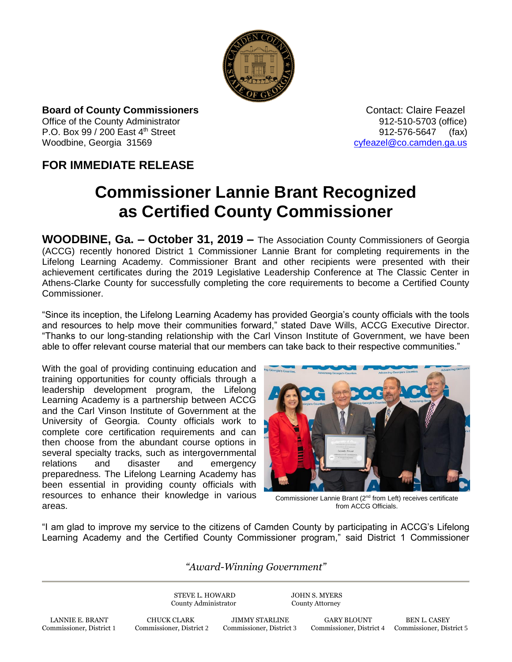

**Board of County Commissioners CONTACT CONTACT CONTACT Claire Feazel** Office of the County Administrator 912-510-5703 (office) P.O. Box 99 / 200 East 4<sup>th</sup> Street 912-576-5647 (fax) Woodbine, Georgia 31569 [cyfeazel@co.camden.ga.us](mailto:cyfeazel@co.camden.ga.us)

## **FOR IMMEDIATE RELEASE**

## **Commissioner Lannie Brant Recognized as Certified County Commissioner**

**WOODBINE, Ga. – October 31, 2019 –** The Association County Commissioners of Georgia (ACCG) recently honored District 1 Commissioner Lannie Brant for completing requirements in the Lifelong Learning Academy. Commissioner Brant and other recipients were presented with their achievement certificates during the 2019 Legislative Leadership Conference at The Classic Center in Athens-Clarke County for successfully completing the core requirements to become a Certified County Commissioner.

"Since its inception, the Lifelong Learning Academy has provided Georgia's county officials with the tools and resources to help move their communities forward," stated Dave Wills, ACCG Executive Director. "Thanks to our long-standing relationship with the Carl Vinson Institute of Government, we have been able to offer relevant course material that our members can take back to their respective communities."

With the goal of providing continuing education and training opportunities for county officials through a leadership development program, the Lifelong Learning Academy is a partnership between ACCG and the Carl Vinson Institute of Government at the University of Georgia. County officials work to complete core certification requirements and can then choose from the abundant course options in several specialty tracks, such as intergovernmental relations and disaster and emergency preparedness. The Lifelong Learning Academy has been essential in providing county officials with resources to enhance their knowledge in various areas.



Commissioner Lannie Brant (2nd from Left) receives certificate from ACCG Officials.

"I am glad to improve my service to the citizens of Camden County by participating in ACCG's Lifelong Learning Academy and the Certified County Commissioner program," said District 1 Commissioner

## *"Award-Winning Government"*

STEVE L. HOWARD JOHN S. MYERS County Administrator County Attorney

LANNIE E. BRANT CHUCK CLARK JIMMY STARLINE GARY BLOUNT BEN L. CASEY<br>Commissioner, District 1 Commissioner, District 2 Commissioner, District 3 Commissioner, District 4 Commissioner, Dist

Commissioner, District 4 Commissioner, District 5